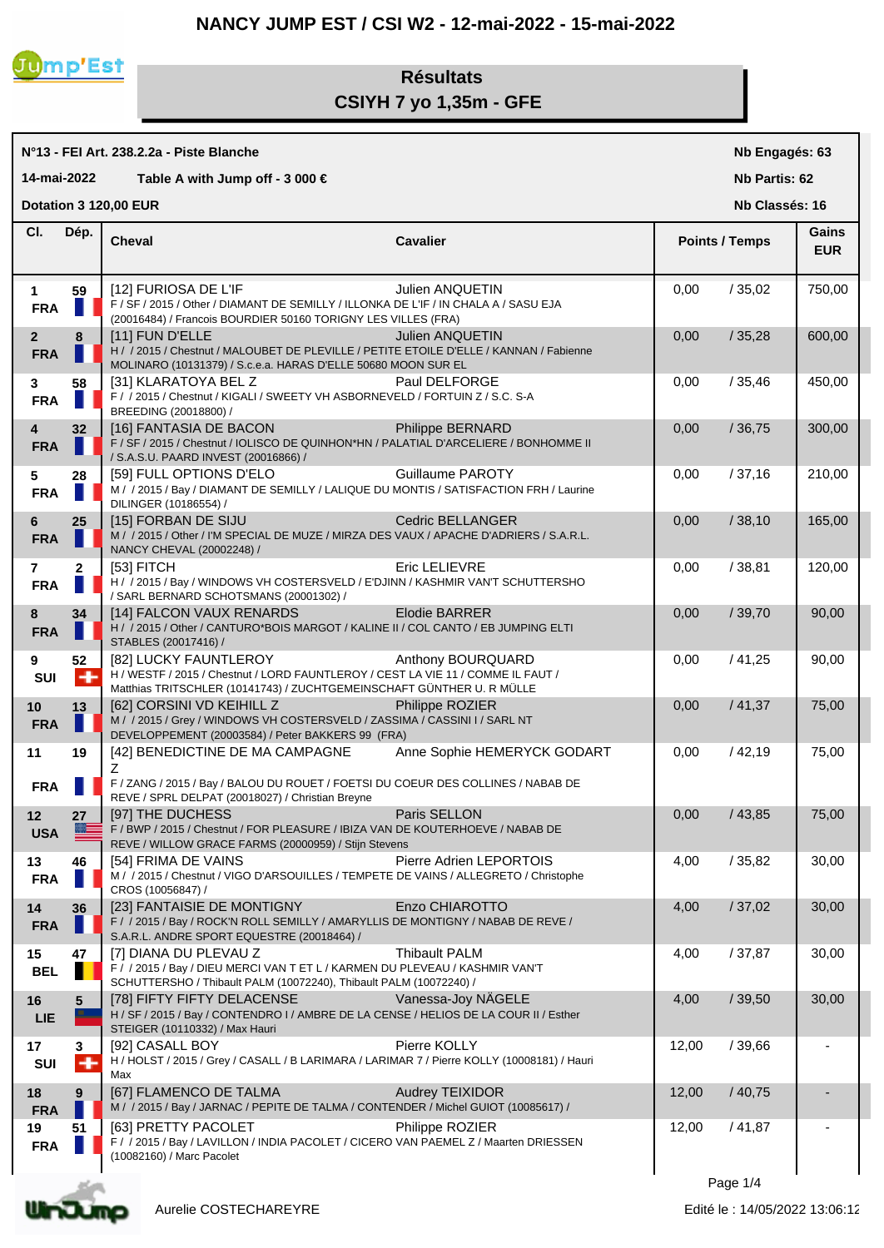# **NANCY JUMP EST / CSI W2 - 12-mai-2022 - 15-mai-2022**



## **Résultats CSIYH 7 yo 1,35m - GFE**

|             | N°13 - FEI Art. 238.2.2a - Piste Blanche |
|-------------|------------------------------------------|
| 14-mai-2022 | Table A with Jump off - 3 000 $\in$      |

**Nb Engagés: 63**

**Nb Partis: 62**

**Dotation 3 120,00 EUR** 

| CI.                        | Dép.            | <b>Cheval</b>                                                                                                                                                                      | <b>Cavalier</b>         |       | <b>Points / Temps</b> | Gains<br><b>EUR</b> |  |
|----------------------------|-----------------|------------------------------------------------------------------------------------------------------------------------------------------------------------------------------------|-------------------------|-------|-----------------------|---------------------|--|
| 1<br><b>FRA</b>            | 59              | [12] FURIOSA DE L'IF<br>F / SF / 2015 / Other / DIAMANT DE SEMILLY / ILLONKA DE L'IF / IN CHALA A / SASU EJA<br>(20016484) / Francois BOURDIER 50160 TORIGNY LES VILLES (FRA)      | Julien ANQUETIN         | 0,00  | /35,02                | 750,00              |  |
| $\mathbf{2}$<br><b>FRA</b> | 8               | [11] FUN D'ELLE<br>H / / 2015 / Chestnut / MALOUBET DE PLEVILLE / PETITE ETOILE D'ELLE / KANNAN / Fabienne<br>MOLINARO (10131379) / S.c.e.a. HARAS D'ELLE 50680 MOON SUR EL        | Julien ANQUETIN         | 0,00  | /35,28                | 600,00              |  |
| 3<br><b>FRA</b>            | 58              | [31] KLARATOYA BEL Z<br>F / / 2015 / Chestnut / KIGALI / SWEETY VH ASBORNEVELD / FORTUIN Z / S.C. S-A<br>BREEDING (20018800) /                                                     | Paul DELFORGE           | 0,00  | /35,46                | 450,00              |  |
| 4<br><b>FRA</b>            | 32              | [16] FANTASIA DE BACON<br>F / SF / 2015 / Chestnut / IOLISCO DE QUINHON*HN / PALATIAL D'ARCELIERE / BONHOMME II<br>/ S.A.S.U. PAARD INVEST (20016866) /                            | Philippe BERNARD        | 0,00  | /36,75                | 300,00              |  |
| 5<br><b>FRA</b>            | 28              | [59] FULL OPTIONS D'ELO<br>M / / 2015 / Bay / DIAMANT DE SEMILLY / LALIQUE DU MONTIS / SATISFACTION FRH / Laurine<br>DILINGER (10186554) /                                         | <b>Guillaume PAROTY</b> | 0,00  | /37,16                | 210,00              |  |
| <b>FRA</b>                 | 25              | [15] FORBAN DE SIJU<br>M / / 2015 / Other / I'M SPECIAL DE MUZE / MIRZA DES VAUX / APACHE D'ADRIERS / S.A.R.L.<br>NANCY CHEVAL (20002248) /                                        | Cedric BELLANGER        | 0,00  | /38,10                | 165,00              |  |
| 7<br><b>FRA</b>            | $\mathbf{2}$    | [53] FITCH<br>H / / 2015 / Bay / WINDOWS VH COSTERSVELD / E'DJINN / KASHMIR VAN'T SCHUTTERSHO<br>/ SARL BERNARD SCHOTSMANS (20001302) /                                            | Eric LELIEVRE           | 0,00  | /38,81                | 120,00              |  |
| 8<br><b>FRA</b>            | 34              | [14] FALCON VAUX RENARDS<br>H / / 2015 / Other / CANTURO*BOIS MARGOT / KALINE II / COL CANTO / EB JUMPING ELTI<br>STABLES (20017416) /                                             | <b>Elodie BARRER</b>    | 0,00  | /39,70                | 90,00               |  |
| 9<br>SUI                   | 52<br>$\ddot{}$ | [82] LUCKY FAUNTLEROY<br>H / WESTF / 2015 / Chestnut / LORD FAUNTLEROY / CEST LA VIE 11 / COMME IL FAUT /<br>Matthias TRITSCHLER (10141743) / ZUCHTGEMEINSCHAFT GÜNTHER U. R MÜLLE | Anthony BOURQUARD       | 0,00  | /41,25                | 90,00               |  |
| 10<br><b>FRA</b>           | 13              | [62] CORSINI VD KEIHILL Z<br>M / / 2015 / Grey / WINDOWS VH COSTERSVELD / ZASSIMA / CASSINI I / SARL NT<br>DEVELOPPEMENT (20003584) / Peter BAKKERS 99 (FRA)                       | Philippe ROZIER         | 0,00  | /41,37                | 75,00               |  |
| 11<br><b>FRA</b>           | 19              | [42] BENEDICTINE DE MA CAMPAGNE Anne Sophie HEMERYCK GODART<br>Z<br>F / ZANG / 2015 / Bay / BALOU DU ROUET / FOETSI DU COEUR DES COLLINES / NABAB DE                               |                         | 0,00  | /42,19                | 75,00               |  |
| 12<br><b>USA</b>           | 27<br>安全        | REVE / SPRL DELPAT (20018027) / Christian Breyne<br>[97] THE DUCHESS<br>F / BWP / 2015 / Chestnut / FOR PLEASURE / IBIZA VAN DE KOUTERHOEVE / NABAB DE                             | Paris SELLON            | 0,00  | /43,85                | 75,00               |  |
| 13<br><b>FRA</b>           | 46              | REVE / WILLOW GRACE FARMS (20000959) / Stijn Stevens<br>[54] FRIMA DE VAINS<br>M / / 2015 / Chestnut / VIGO D'ARSOUILLES / TEMPETE DE VAINS / ALLEGRETO / Christophe               | Pierre Adrien LEPORTOIS | 4,00  | /35,82                | 30,00               |  |
| 14<br><b>FRA</b>           | 36              | CROS (10056847) /<br>[23] FANTAISIE DE MONTIGNY<br>F / / 2015 / Bay / ROCK'N ROLL SEMILLY / AMARYLLIS DE MONTIGNY / NABAB DE REVE /<br>S.A.R.L. ANDRE SPORT EQUESTRE (20018464) /  | Enzo CHIAROTTO          | 4,00  | /37,02                | 30,00               |  |
| 15<br><b>BEL</b>           | 47              | [7] DIANA DU PLEVAU Z<br>F / / 2015 / Bay / DIEU MERCI VAN T ET L / KARMEN DU PLEVEAU / KASHMIR VAN'T<br>SCHUTTERSHO / Thibault PALM (10072240), Thibault PALM (10072240) /        | <b>Thibault PALM</b>    | 4,00  | /37,87                | 30,00               |  |
| 16<br><b>LIE</b>           | $5\phantom{1}$  | [78] FIFTY FIFTY DELACENSE<br>H / SF / 2015 / Bay / CONTENDRO I / AMBRE DE LA CENSE / HELIOS DE LA COUR II / Esther<br>STEIGER (10110332) / Max Hauri                              | Vanessa-Joy NAGELE      | 4,00  | /39,50                | 30,00               |  |
| 17<br>SUI                  | 3<br>EF.        | [92] CASALL BOY<br>H / HOLST / 2015 / Grey / CASALL / B LARIMARA / LARIMAR 7 / Pierre KOLLY (10008181) / Hauri<br>Max                                                              | Pierre KOLLY            | 12,00 | /39,66                |                     |  |
| 18<br><b>FRA</b>           | 9               | [67] FLAMENCO DE TALMA<br>M / / 2015 / Bay / JARNAC / PEPITE DE TALMA / CONTENDER / Michel GUIOT (10085617) /                                                                      | <b>Audrey TEIXIDOR</b>  | 12,00 | /40,75                |                     |  |
| 19<br><b>FRA</b>           | 51              | [63] PRETTY PACOLET<br>F / / 2015 / Bay / LAVILLON / INDIA PACOLET / CICERO VAN PAEMEL Z / Maarten DRIESSEN<br>(10082160) / Marc Pacolet                                           | Philippe ROZIER         | 12,00 | /41,87                |                     |  |

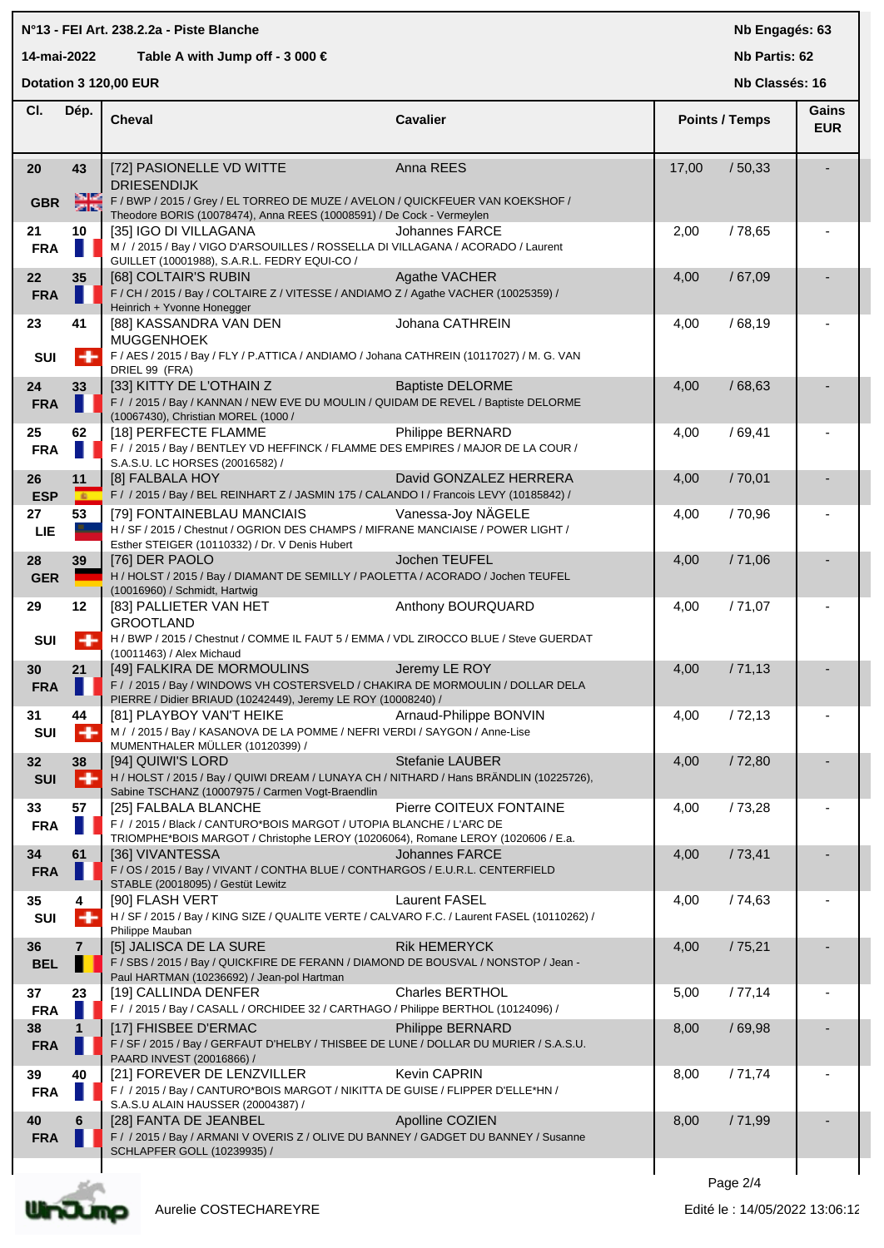### **N°13 - FEI Art. 238.2.2a - Piste Blanche**

**14-mai-2022 Table A with Jump off - 3 000 €**

**Nb Engagés: 63**

### **Nb Partis: 62**

|                                | Dotation 3 120,00 EUR |                                                                                                                                                                                                     |                         |       | Nb Classés: 16        |                     |  |
|--------------------------------|-----------------------|-----------------------------------------------------------------------------------------------------------------------------------------------------------------------------------------------------|-------------------------|-------|-----------------------|---------------------|--|
| CI.                            | Dép.                  | <b>Cheval</b>                                                                                                                                                                                       | <b>Cavalier</b>         |       | <b>Points / Temps</b> | Gains<br><b>EUR</b> |  |
| 20<br><b>GBR</b>               | 43<br>開き              | [72] PASIONELLE VD WITTE<br><b>DRIESENDIJK</b><br>F / BWP / 2015 / Grey / EL TORREO DE MUZE / AVELON / QUICKFEUER VAN KOEKSHOF /                                                                    | Anna REES               | 17,00 | /50,33                |                     |  |
| 21                             | 10                    | Theodore BORIS (10078474), Anna REES (10008591) / De Cock - Vermeylen<br>[35] IGO DI VILLAGANA                                                                                                      | Johannes FARCE          | 2,00  | /78,65                |                     |  |
| <b>FRA</b>                     |                       | M / / 2015 / Bay / VIGO D'ARSOUILLES / ROSSELLA DI VILLAGANA / ACORADO / Laurent<br>GUILLET (10001988), S.A.R.L. FEDRY EQUI-CO /                                                                    |                         |       |                       |                     |  |
| 22<br><b>FRA</b>               | 35                    | [68] COLTAIR'S RUBIN<br>F / CH / 2015 / Bay / COLTAIRE Z / VITESSE / ANDIAMO Z / Agathe VACHER (10025359) /<br>Heinrich + Yvonne Honegger                                                           | Agathe VACHER           | 4,00  | /67,09                |                     |  |
| 23                             | 41                    | [88] KASSANDRA VAN DEN<br><b>MUGGENHOEK</b>                                                                                                                                                         | Johana CATHREIN         | 4,00  | /68,19                |                     |  |
| SUI                            | ۰                     | F / AES / 2015 / Bay / FLY / P.ATTICA / ANDIAMO / Johana CATHREIN (10117027) / M. G. VAN<br>DRIEL 99 (FRA)                                                                                          |                         |       |                       |                     |  |
| 24<br><b>FRA</b>               | 33<br>ш               | [33] KITTY DE L'OTHAIN Z<br>F / / 2015 / Bay / KANNAN / NEW EVE DU MOULIN / QUIDAM DE REVEL / Baptiste DELORME<br>(10067430), Christian MOREL (1000 /                                               | <b>Baptiste DELORME</b> | 4,00  | /68,63                |                     |  |
| 25<br><b>FRA</b>               | 62                    | [18] PERFECTE FLAMME<br>F / / 2015 / Bay / BENTLEY VD HEFFINCK / FLAMME DES EMPIRES / MAJOR DE LA COUR /<br>S.A.S.U. LC HORSES (20016582) /                                                         | Philippe BERNARD        | 4,00  | /69,41                |                     |  |
| 26<br><b>ESP</b>               | 11<br><b>COLLE</b>    | [8] FALBALA HOY<br>F / / 2015 / Bay / BEL REINHART Z / JASMIN 175 / CALANDO I / Francois LEVY (10185842) /                                                                                          | David GONZALEZ HERRERA  | 4,00  | /70,01                |                     |  |
| 27<br>LIE                      | 53                    | [79] FONTAINEBLAU MANCIAIS<br>H / SF / 2015 / Chestnut / OGRION DES CHAMPS / MIFRANE MANCIAISE / POWER LIGHT /<br>Esther STEIGER (10110332) / Dr. V Denis Hubert                                    | Vanessa-Joy NÄGELE      | 4,00  | / 70,96               |                     |  |
| 28<br><b>GER</b>               | 39                    | [76] DER PAOLO<br>H / HOLST / 2015 / Bay / DIAMANT DE SEMILLY / PAOLETTA / ACORADO / Jochen TEUFEL                                                                                                  | Jochen TEUFEL           | 4,00  | /71,06                |                     |  |
| 29                             | 12                    | (10016960) / Schmidt, Hartwig<br>[83] PALLIETER VAN HET                                                                                                                                             | Anthony BOURQUARD       | 4,00  | /71,07                |                     |  |
| <b>SUI</b>                     | Q                     | <b>GROOTLAND</b><br>H / BWP / 2015 / Chestnut / COMME IL FAUT 5 / EMMA / VDL ZIROCCO BLUE / Steve GUERDAT<br>(10011463) / Alex Michaud                                                              |                         |       |                       |                     |  |
| 30<br><b>FRA</b>               | 21                    | [49] FALKIRA DE MORMOULINS<br>F / / 2015 / Bay / WINDOWS VH COSTERSVELD / CHAKIRA DE MORMOULIN / DOLLAR DELA<br>PIERRE / Didier BRIAUD (10242449), Jeremy LE ROY (10008240) /                       | Jeremy LE ROY           | 4,00  | /71,13                |                     |  |
| 31<br><b>SUI</b>               | 44<br>÷               | [81] PLAYBOY VAN'T HEIKE<br>M / / 2015 / Bay / KASANOVA DE LA POMME / NEFRI VERDI / SAYGON / Anne-Lise<br>MUMENTHALER MÜLLER (10120399) /                                                           | Arnaud-Philippe BONVIN  | 4,00  | /72,13                |                     |  |
| 32<br><b>SUI</b>               | 38<br>∣⊕              | [94] QUIWI'S LORD<br>H / HOLST / 2015 / Bay / QUIWI DREAM / LUNAYA CH / NITHARD / Hans BRÄNDLIN (10225726),                                                                                         | <b>Stefanie LAUBER</b>  | 4,00  | /72,80                |                     |  |
| 33<br><b>FRA</b>               | 57                    | Sabine TSCHANZ (10007975 / Carmen Vogt-Braendlin<br>[25] FALBALA BLANCHE<br>F / / 2015 / Black / CANTURO*BOIS MARGOT / UTOPIA BLANCHE / L'ARC DE                                                    | Pierre COITEUX FONTAINE | 4,00  | /73,28                |                     |  |
| 34<br><b>FRA</b>               | 61                    | TRIOMPHE*BOIS MARGOT / Christophe LEROY (10206064), Romane LEROY (1020606 / E.a.<br>[36] VIVANTESSA<br>F / OS / 2015 / Bay / VIVANT / CONTHA BLUE / CONTHARGOS / E.U.R.L. CENTERFIELD               | Johannes FARCE          | 4,00  | /73,41                |                     |  |
| 35<br>SUI                      | 4<br>÷                | STABLE (20018095) / Gestüt Lewitz<br>[90] FLASH VERT<br>H / SF / 2015 / Bay / KING SIZE / QUALITE VERTE / CALVARO F.C. / Laurent FASEL (10110262) /                                                 | <b>Laurent FASEL</b>    | 4,00  | /74,63                |                     |  |
| 36<br><b>BEL</b>               | $\overline{7}$        | Philippe Mauban<br>[5] JALISCA DE LA SURE<br>F / SBS / 2015 / Bay / QUICKFIRE DE FERANN / DIAMOND DE BOUSVAL / NONSTOP / Jean -                                                                     | <b>Rik HEMERYCK</b>     | 4,00  | /75,21                |                     |  |
| 37                             | 23                    | Paul HARTMAN (10236692) / Jean-pol Hartman<br>[19] CALLINDA DENFER                                                                                                                                  | <b>Charles BERTHOL</b>  | 5,00  | /77,14                |                     |  |
| <b>FRA</b><br>38<br><b>FRA</b> | $\mathbf 1$           | F / / 2015 / Bay / CASALL / ORCHIDEE 32 / CARTHAGO / Philippe BERTHOL (10124096) /<br>[17] FHISBEE D'ERMAC<br>F / SF / 2015 / Bay / GERFAUT D'HELBY / THISBEE DE LUNE / DOLLAR DU MURIER / S.A.S.U. | Philippe BERNARD        | 8,00  | /69,98                |                     |  |
| 39<br><b>FRA</b>               | 40                    | PAARD INVEST (20016866) /<br>[21] FOREVER DE LENZVILLER<br>F / / 2015 / Bay / CANTURO*BOIS MARGOT / NIKITTA DE GUISE / FLIPPER D'ELLE*HN /                                                          | <b>Kevin CAPRIN</b>     | 8,00  | /71,74                |                     |  |
| 40<br><b>FRA</b>               | 6                     | S.A.S.U ALAIN HAUSSER (20004387) /<br>[28] FANTA DE JEANBEL<br>F / / 2015 / Bay / ARMANI V OVERIS Z / OLIVE DU BANNEY / GADGET DU BANNEY / Susanne                                                  | Apolline COZIEN         | 8,00  | /71,99                |                     |  |
|                                |                       | SCHLAPFER GOLL (10239935) /                                                                                                                                                                         |                         |       |                       |                     |  |

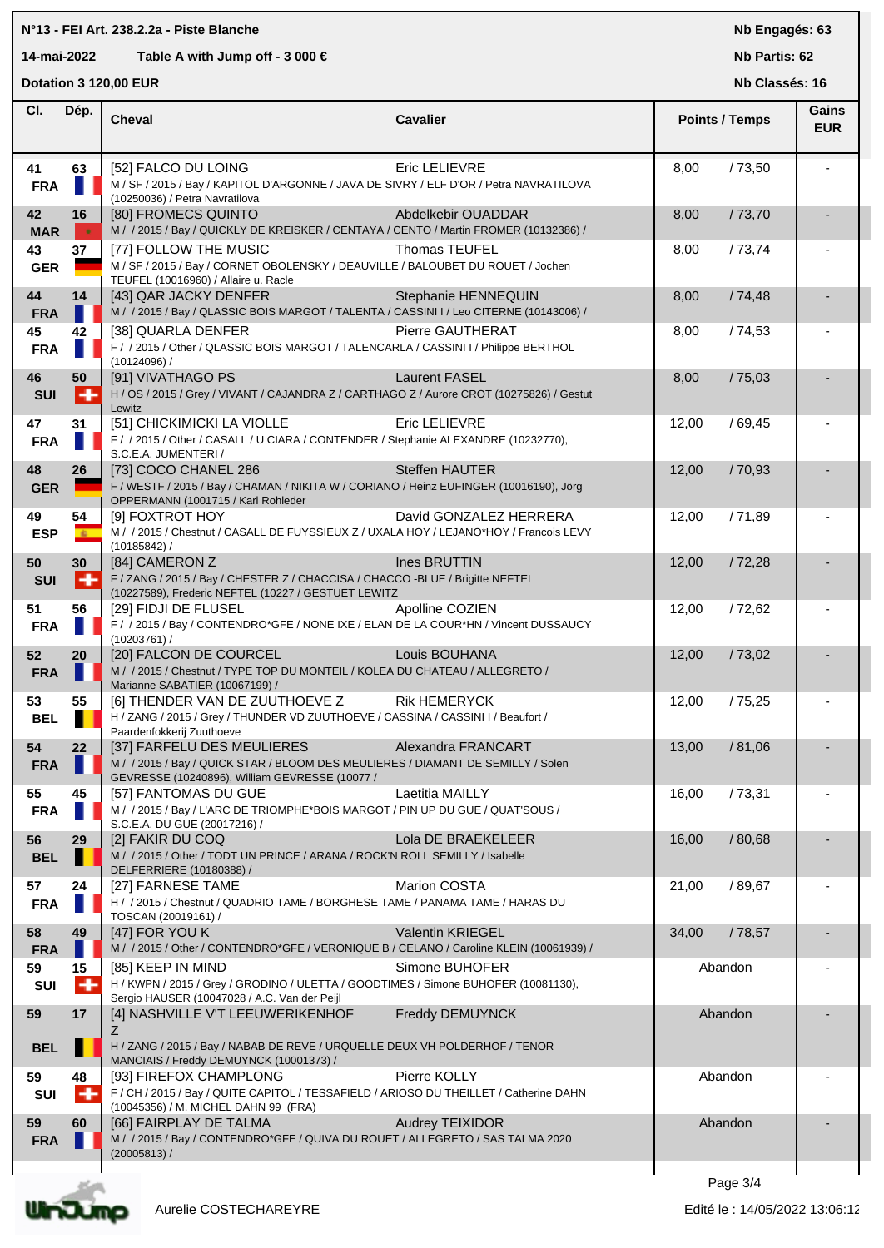#### **N°13 - FEI Art. 238.2.2a - Piste Blanche Cheval Cavalier Cl. Nb Engagés: 63 Nb Partis: 62 Nb Classés: 16 Gains 14-mai-2022 Table A with Jump off - 3 000 € Points / Temps EUR Dotation 3 120,00 EUR Dép. 41 63** | 52] FALCO DU LOING Eric LELIEVRE 8,00 / 73,50 **FRA** M / SF / 2015 / Bay / KAPITOL D'ARGONNE / JAVA DE SIVRY / ELF D'OR / Petra NAVRATILOVA (10250036) / Petra Navratilova **42 16** | [80] FROMECS QUINTO **Abdelkebir OUADDAR** | 8,00 / 73,70 MAR M / 2015 / Bay / QUICKLY DE KREISKER / CENTAYA / CENTO / Martin FROMER (10132386) / **43 37** [77] FOLLOW THE MUSIC Thomas TEUFEL 8,00 / 73,74 - **GER** M / SF / 2015 / Bay / CORNET OBOLENSKY / DEAUVILLE / BALOUBET DU ROUET / Jochen TEUFEL (10016960) / Allaire u. Racle **44 14** [43] QAR JACKY DENFER Stephanie HENNEQUIN 8,00 / 74,48 - **FRA** M / / 2015 / Bay / QLASSIC BOIS MARGOT / TALENTA / CASSINI I / Leo CITERNE (10143006) / **45 42** [38] QUARLA DENFER Pierre GAUTHERAT 8,00 / 74,53 - **FRA** F / / 2015 / Other / QLASSIC BOIS MARGOT / TALENCARLA / CASSINI I / Philippe BERTHOL (10124096) / **46 50**  $\left[$  [91] VIVATHAGO PS Laurent FASEL 8,00 / 75,03 **SUI** H / OS / 2015 / Grey / VIVANT / CAJANDRA Z / CARTHAGO Z / Aurore CROT (10275826) / Gestut Lewitz **47 31** [51] CHICKIMICKI LA VIOLLE Eric LELIEVRE 12,00 / 69,45 - FRA F / / 2015 / Other / CASALL / U CIARA / CONTENDER / Stephanie ALEXANDRE (10232770), S.C.E.A. JUMENTERI / **48 26** [73] COCO CHANEL 286 Steffen HAUTER 12,00 / 70,93 - GER F / WESTF / 2015 / Bay / CHAMAN / NIKITA W / CORIANO / Heinz EUFINGER (10016190), Jörg OPPERMANN (1001715 / Karl Rohleder **49 54** [9] FOXTROT HOY David GONZALEZ HERRERA 12,00 / 71,89 - **ESP** M / / 2015 / Chestnut / CASALL DE FUYSSIEUX Z / UXALA HOY / LEJANO\*HOY / Francois LEVY (10185842) / **50 30** [84] CAMERON Z Ines BRUTTIN 12,00 / 72,28 - **SUI** F / ZANG / 2015 / Bay / CHESTER Z / CHACCISA / CHACCO -BLUE / Brigitte NEFTEL (10227589), Frederic NEFTEL (10227 / GESTUET LEWITZ **51 56** [29] FIDJI DE FLUSEL Apolline COZIEN 12,00 / 72,62 - **FRA** F / / 2015 / Bay / CONTENDRO\*GFE / NONE IXE / ELAN DE LA COUR\*HN / Vincent DUSSAUCY (10203761) / **52 20** [20] FALCON DE COURCEL Louis BOUHANA 12,00 / 73,02 - **FRA** M / 2015 / Chestnut / TYPE TOP DU MONTEIL / KOLEA DU CHATEAU / ALLEGRETO / Marianne SABATIER (10067199) / **53 55** [6] THENDER VAN DE ZUUTHOEVE Z Rik HEMERYCK 12,00 / 75,25 - **BEL H** / ZANG / 2015 / Grey / THUNDER VD ZUUTHOEVE / CASSINA / CASSINI I / Beaufort / Paardenfokkerij Zuuthoeve **54 22** [37] FARFELU DES MEULIERES Alexandra FRANCART 13,00 / 81,06 - **FRA** M / / 2015 / Bay / QUICK STAR / BLOOM DES MEULIERES / DIAMANT DE SEMILLY / Solen GEVRESSE (10240896), William GEVRESSE (10077 / **55 45**  $\begin{bmatrix} 57 \end{bmatrix}$  FANTOMAS DU GUE Laetitia MAILLY  $\begin{bmatrix} 16,00 \end{bmatrix}$  / 73,31 **FRA** M / / 2015 / Bay / L'ARC DE TRIOMPHE\*BOIS MARGOT / PIN UP DU GUE / QUAT'SOUS / S.C.E.A. DU GUE (20017216) / **56 29** [2] FAKIR DU COQ Lola DE BRAEKELEER 16,00 / 80,68 - **BEL** M / / 2015 / Other / TODT UN PRINCE / ARANA / ROCK'N ROLL SEMILLY / Isabelle DELFERRIERE (10180388) / **57 24** [27] FARNESE TAME Marion COSTA 21,00 / 89,67 - **FRA** H / / 2015 / Chestnut / QUADRIO TAME / BORGHESE TAME / PANAMA TAME / HARAS DU TOSCAN (20019161) / **58 49** [47] FOR YOU K Valentin KRIEGEL 34,00 / 78,57 - **FRA** M / 2015 / Other / CONTENDRO\*GFE / VERONIQUE B / CELANO / Caroline KLEIN (10061939) / **59 15** [85] KEEP IN MIND Simone BUHOFER Abandon - SUI H/KWPN/2015/Grey/GRODINO/ULETTA/GOODTIMES/Simone BUHOFER (10081130), Sergio HAUSER (10047028 / A.C. Van der Peijl **59** [4] NASHVILLE V'T LEEUWERIKENHOF Freddy DEMUYNCK **17** Abandon - Z<sub>an</sub> Kabupatèn Bandung Kabupatèn Bandung Kabupatèn Bandung Kabupatèn Bandung Kabupatèn Bandung Kabupatèn Bandung K **BEL H** / ZANG / 2015 / Bay / NABAB DE REVE / URQUELLE DEUX VH POLDERHOF / TENOR MANCIAIS / Freddy DEMUYNCK (10001373) / **59 48** [93] FIREFOX CHAMPLONG Pierre KOLLY Abandon - **SUI** F / CH / 2015 / Bay / QUITE CAPITOL / TESSAFIELD / ARIOSO DU THEILLET / Catherine DAHN (10045356) / M. MICHEL DAHN 99 (FRA) **59 60** | [66] FAIRPLAY DE TALMA Audrey TEIXIDOR | Abandon - Abandon - Abandon - Abandon - Abandon - Abandon - Abandon - Abandon - Abandon - Abandon - Abandon - Abandon - Abandon - Abandon - Abandon - Abandon - Abandon - A **FRA** M / / 2015 / Bay / CONTENDRO\*GFE / QUIVA DU ROUET / ALLEGRETO / SAS TALMA 2020 (20005813) /